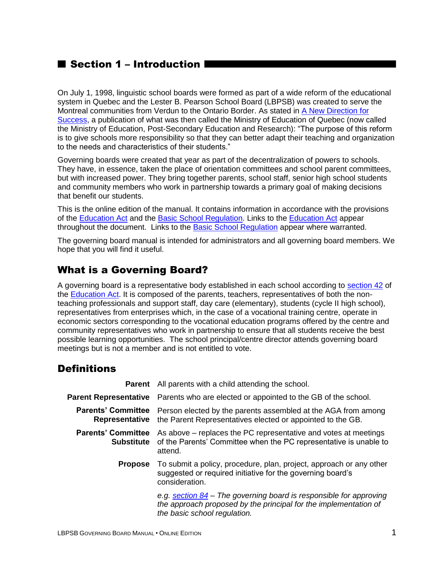## ■ Section 1 – Introduction I

On July 1, 1998, linguistic school boards were formed as part of a wide reform of the educational system in Quebec and the Lester B. Pearson School Board (LBPSB) was created to serve the Montreal communities from Verdun to the Ontario Border. As stated in [A New Direction for](http://www.education.gouv.qc.ca/fileadmin/site_web/documents/dpse/adaptation_serv_compl/polite00A.pdf)  [Success,](http://www.education.gouv.qc.ca/fileadmin/site_web/documents/dpse/adaptation_serv_compl/polite00A.pdf) a publication of what was then called the Ministry of Education of Quebec (now called the Ministry of Education, Post-Secondary Education and Research): "The purpose of this reform is to give schools more responsibility so that they can better adapt their teaching and organization to the needs and characteristics of their students."

Governing boards were created that year as part of the decentralization of powers to schools. They have, in essence, taken the place of orientation committees and school parent committees, but with increased power. They bring together parents, school staff, senior high school students and community members who work in partnership towards a primary goal of making decisions that benefit our students.

This is the online edition of the manual. It contains information in accordance with the provisions of the [Education Act](http://www2.publicationsduquebec.gouv.qc.ca/dynamicSearch/telecharge.php?type=2&file=/I_13_3/I13_3_A.html) and the [Basic School Regulation.](http://www.education.gouv.qc.ca/en/references/laws-and-regulations/basic-school-regulations/) Links to the [Education Act](http://www2.publicationsduquebec.gouv.qc.ca/dynamicSearch/telecharge.php?type=2&file=/I_13_3/I13_3_A.html) appear throughout the document. Links to the [Basic School Regulation](http://www.education.gouv.qc.ca/en/references/laws-and-regulations/basic-school-regulations/) appear where warranted.

The governing board manual is intended for administrators and all governing board members. We hope that you will find it useful.

## What is a Governing Board?

A governing board is a representative body established in each school according to [section 42](http://www2.publicationsduquebec.gouv.qc.ca/dynamicSearch/telecharge.php?type=2&file=/I_13_3/I13_3_A.html#s42) of the [Education Act.](http://www2.publicationsduquebec.gouv.qc.ca/dynamicSearch/telecharge.php?type=2&file=/I_13_3/I13_3_A.html) It is composed of the parents, teachers, representatives of both the nonteaching professionals and support staff, day care (elementary), students (cycle II high school), representatives from enterprises which, in the case of a vocational training centre, operate in economic sectors corresponding to the vocational education programs offered by the centre and community representatives who work in partnership to ensure that all students receive the best possible learning opportunities. The school principal/centre director attends governing board meetings but is not a member and is not entitled to vote.

## **Definitions**

|                                                | <b>Parent</b> All parents with a child attending the school.                                                                                                             |
|------------------------------------------------|--------------------------------------------------------------------------------------------------------------------------------------------------------------------------|
| <b>Parent Representative</b>                   | Parents who are elected or appointed to the GB of the school.                                                                                                            |
| <b>Parents' Committee</b><br>Representative    | Person elected by the parents assembled at the AGA from among<br>the Parent Representatives elected or appointed to the GB.                                              |
| <b>Parents' Committee</b><br><b>Substitute</b> | As above – replaces the PC representative and votes at meetings<br>of the Parents' Committee when the PC representative is unable to<br>attend.                          |
| <b>Propose</b>                                 | To submit a policy, procedure, plan, project, approach or any other<br>suggested or required initiative for the governing board's<br>consideration.                      |
|                                                | e.g. section $84 -$ The governing board is responsible for approving<br>the approach proposed by the principal for the implementation of<br>the basic school regulation. |